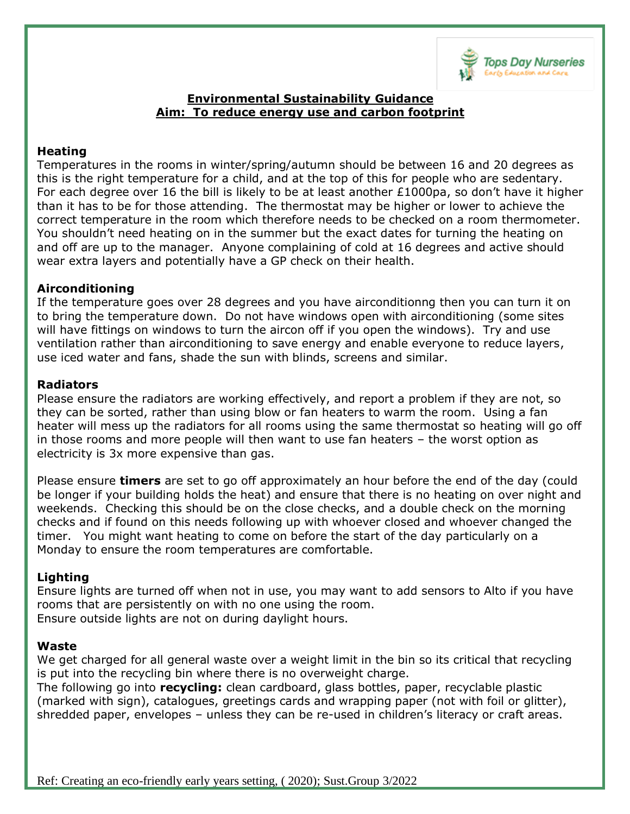

### **Environmental Sustainability Guidance Aim: To reduce energy use and carbon footprint**

# **Heating**

Temperatures in the rooms in winter/spring/autumn should be between 16 and 20 degrees as this is the right temperature for a child, and at the top of this for people who are sedentary. For each degree over 16 the bill is likely to be at least another  $£1000pa$ , so don't have it higher than it has to be for those attending. The thermostat may be higher or lower to achieve the correct temperature in the room which therefore needs to be checked on a room thermometer. You shouldn't need heating on in the summer but the exact dates for turning the heating on and off are up to the manager. Anyone complaining of cold at 16 degrees and active should wear extra layers and potentially have a GP check on their health.

## **Airconditioning**

If the temperature goes over 28 degrees and you have airconditionng then you can turn it on to bring the temperature down. Do not have windows open with airconditioning (some sites will have fittings on windows to turn the aircon off if you open the windows). Try and use ventilation rather than airconditioning to save energy and enable everyone to reduce layers, use iced water and fans, shade the sun with blinds, screens and similar.

### **Radiators**

Please ensure the radiators are working effectively, and report a problem if they are not, so they can be sorted, rather than using blow or fan heaters to warm the room. Using a fan heater will mess up the radiators for all rooms using the same thermostat so heating will go off in those rooms and more people will then want to use fan heaters – the worst option as electricity is 3x more expensive than gas.

Please ensure **timers** are set to go off approximately an hour before the end of the day (could be longer if your building holds the heat) and ensure that there is no heating on over night and weekends. Checking this should be on the close checks, and a double check on the morning checks and if found on this needs following up with whoever closed and whoever changed the timer. You might want heating to come on before the start of the day particularly on a Monday to ensure the room temperatures are comfortable.

## **Lighting**

Ensure lights are turned off when not in use, you may want to add sensors to Alto if you have rooms that are persistently on with no one using the room. Ensure outside lights are not on during daylight hours.

#### **Waste**

We get charged for all general waste over a weight limit in the bin so its critical that recycling is put into the recycling bin where there is no overweight charge.

The following go into **recycling:** clean cardboard, glass bottles, paper, recyclable plastic (marked with sign), catalogues, greetings cards and wrapping paper (not with foil or glitter), shredded paper, envelopes – unless they can be re-used in children's literacy or craft areas.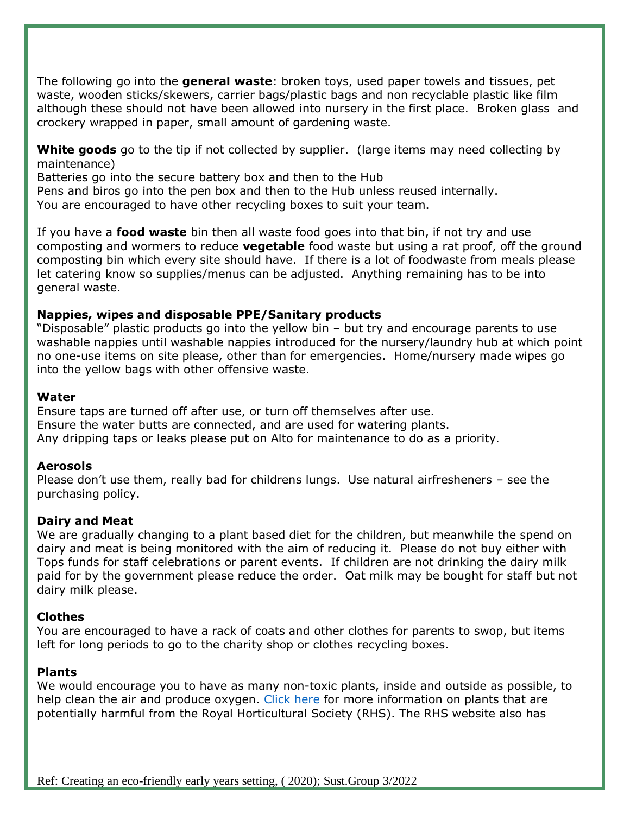The following go into the **general waste**: broken toys, used paper towels and tissues, pet waste, wooden sticks/skewers, carrier bags/plastic bags and non recyclable plastic like film although these should not have been allowed into nursery in the first place. Broken glass and crockery wrapped in paper, small amount of gardening waste.

**White goods** go to the tip if not collected by supplier. (large items may need collecting by maintenance)

Batteries go into the secure battery box and then to the Hub

Pens and biros go into the pen box and then to the Hub unless reused internally.

You are encouraged to have other recycling boxes to suit your team.

If you have a **food waste** bin then all waste food goes into that bin, if not try and use composting and wormers to reduce **vegetable** food waste but using a rat proof, off the ground composting bin which every site should have. If there is a lot of foodwaste from meals please let catering know so supplies/menus can be adjusted. Anything remaining has to be into general waste.

## **Nappies, wipes and disposable PPE/Sanitary products**

"Disposable" plastic products go into the yellow bin – but try and encourage parents to use washable nappies until washable nappies introduced for the nursery/laundry hub at which point no one-use items on site please, other than for emergencies. Home/nursery made wipes go into the yellow bags with other offensive waste.

### **Water**

Ensure taps are turned off after use, or turn off themselves after use. Ensure the water butts are connected, and are used for watering plants. Any dripping taps or leaks please put on Alto for maintenance to do as a priority.

## **Aerosols**

Please don't use them, really bad for childrens lungs. Use natural airfresheners – see the purchasing policy.

## **Dairy and Meat**

We are gradually changing to a plant based diet for the children, but meanwhile the spend on dairy and meat is being monitored with the aim of reducing it. Please do not buy either with Tops funds for staff celebrations or parent events. If children are not drinking the dairy milk paid for by the government please reduce the order. Oat milk may be bought for staff but not dairy milk please.

# **Clothes**

You are encouraged to have a rack of coats and other clothes for parents to swop, but items left for long periods to go to the charity shop or clothes recycling boxes.

## **Plants**

We would encourage you to have as many non-toxic plants, inside and outside as possible, to help clean the air and produce oxygen. [Click here](https://schoolgardening.rhs.org.uk/resources/info-sheet/a-checklist-of-potentially-harmful-plants) for more information on plants that are potentially harmful from the Royal Horticultural Society (RHS). The RHS website also has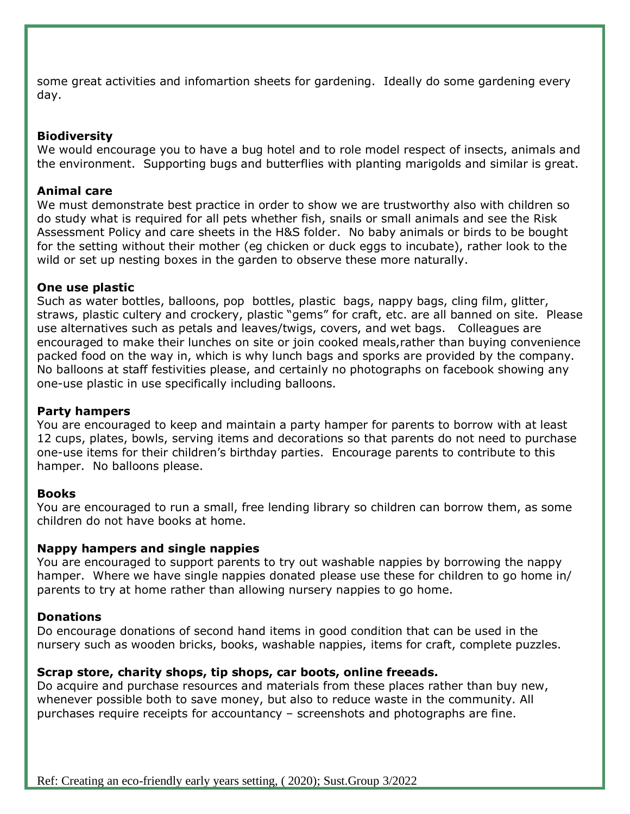some great activities and infomartion sheets for gardening. Ideally do some gardening every day.

#### **Biodiversity**

We would encourage you to have a bug hotel and to role model respect of insects, animals and the environment. Supporting bugs and butterflies with planting marigolds and similar is great.

### **Animal care**

We must demonstrate best practice in order to show we are trustworthy also with children so do study what is required for all pets whether fish, snails or small animals and see the Risk Assessment Policy and care sheets in the H&S folder. No baby animals or birds to be bought for the setting without their mother (eg chicken or duck eggs to incubate), rather look to the wild or set up nesting boxes in the garden to observe these more naturally.

### **One use plastic**

Such as water bottles, balloons, pop bottles, plastic bags, nappy bags, cling film, glitter, straws, plastic cultery and crockery, plastic "gems" for craft, etc. are all banned on site. Please use alternatives such as petals and leaves/twigs, covers, and wet bags. Colleagues are encouraged to make their lunches on site or join cooked meals,rather than buying convenience packed food on the way in, which is why lunch bags and sporks are provided by the company. No balloons at staff festivities please, and certainly no photographs on facebook showing any one-use plastic in use specifically including balloons.

#### **Party hampers**

You are encouraged to keep and maintain a party hamper for parents to borrow with at least 12 cups, plates, bowls, serving items and decorations so that parents do not need to purchase one-use items for their children's birthday parties. Encourage parents to contribute to this hamper. No balloons please.

#### **Books**

You are encouraged to run a small, free lending library so children can borrow them, as some children do not have books at home.

#### **Nappy hampers and single nappies**

You are encouraged to support parents to try out washable nappies by borrowing the nappy hamper. Where we have single nappies donated please use these for children to go home in/ parents to try at home rather than allowing nursery nappies to go home.

## **Donations**

Do encourage donations of second hand items in good condition that can be used in the nursery such as wooden bricks, books, washable nappies, items for craft, complete puzzles.

## **Scrap store, charity shops, tip shops, car boots, online freeads.**

Do acquire and purchase resources and materials from these places rather than buy new, whenever possible both to save money, but also to reduce waste in the community. All purchases require receipts for accountancy – screenshots and photographs are fine.